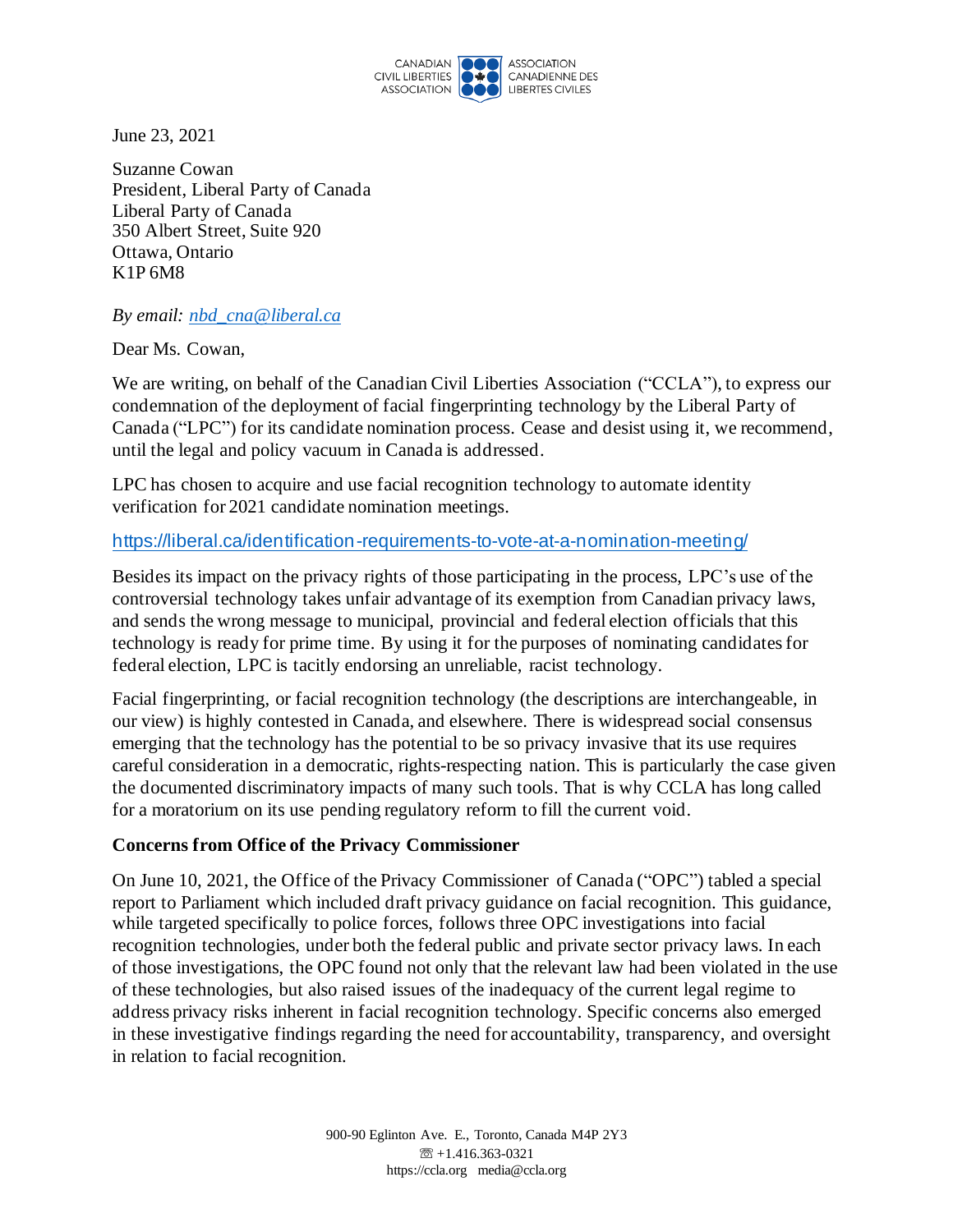

June 23, 2021

Suzanne Cowan President, Liberal Party of Canada Liberal Party of Canada 350 Albert Street, Suite 920 Ottawa, Ontario K1P 6M8

*By email: nbd\_cna@liberal.ca*

Dear Ms. Cowan,

We are writing, on behalf of the Canadian Civil Liberties Association ("CCLA"), to express our condemnation of the deployment of facial fingerprinting technology by the Liberal Party of Canada ("LPC") for its candidate nomination process. Cease and desist using it, we recommend, until the legal and policy vacuum in Canada is addressed.

LPC has chosen to acquire and use facial recognition technology to automate identity verification for 2021 candidate nomination meetings.

## https://liberal.ca/identification-requirements-to-vote-at-a-nomination-meeting/

Besides its impact on the privacy rights of those participating in the process, LPC's use of the controversial technology takes unfair advantage of its exemption from Canadian privacy laws, and sends the wrong message to municipal, provincial and federal election officials that this technology is ready for prime time. By using it for the purposes of nominating candidates for federal election, LPC is tacitly endorsing an unreliable, racist technology.

Facial fingerprinting, or facial recognition technology (the descriptions are interchangeable, in our view) is highly contested in Canada, and elsewhere. There is widespread social consensus emerging that the technology has the potential to be so privacy invasive that its use requires careful consideration in a democratic, rights-respecting nation. This is particularly the case given the documented discriminatory impacts of many such tools. That is why CCLA has long called for a moratorium on its use pending regulatory reform to fill the current void.

#### **Concerns from Office of the Privacy Commissioner**

On June 10, 2021, the Office of the Privacy Commissioner of Canada ("OPC") tabled a special report to Parliament which included draft privacy guidance on facial recognition. This guidance, while targeted specifically to police forces, follows three OPC investigations into facial recognition technologies, under both the federal public and private sector privacy laws. In each of those investigations, the OPC found not only that the relevant law had been violated in the use of these technologies, but also raised issues of the inadequacy of the current legal regime to address privacy risks inherent in facial recognition technology. Specific concerns also emerged in these investigative findings regarding the need for accountability, transparency, and oversight in relation to facial recognition.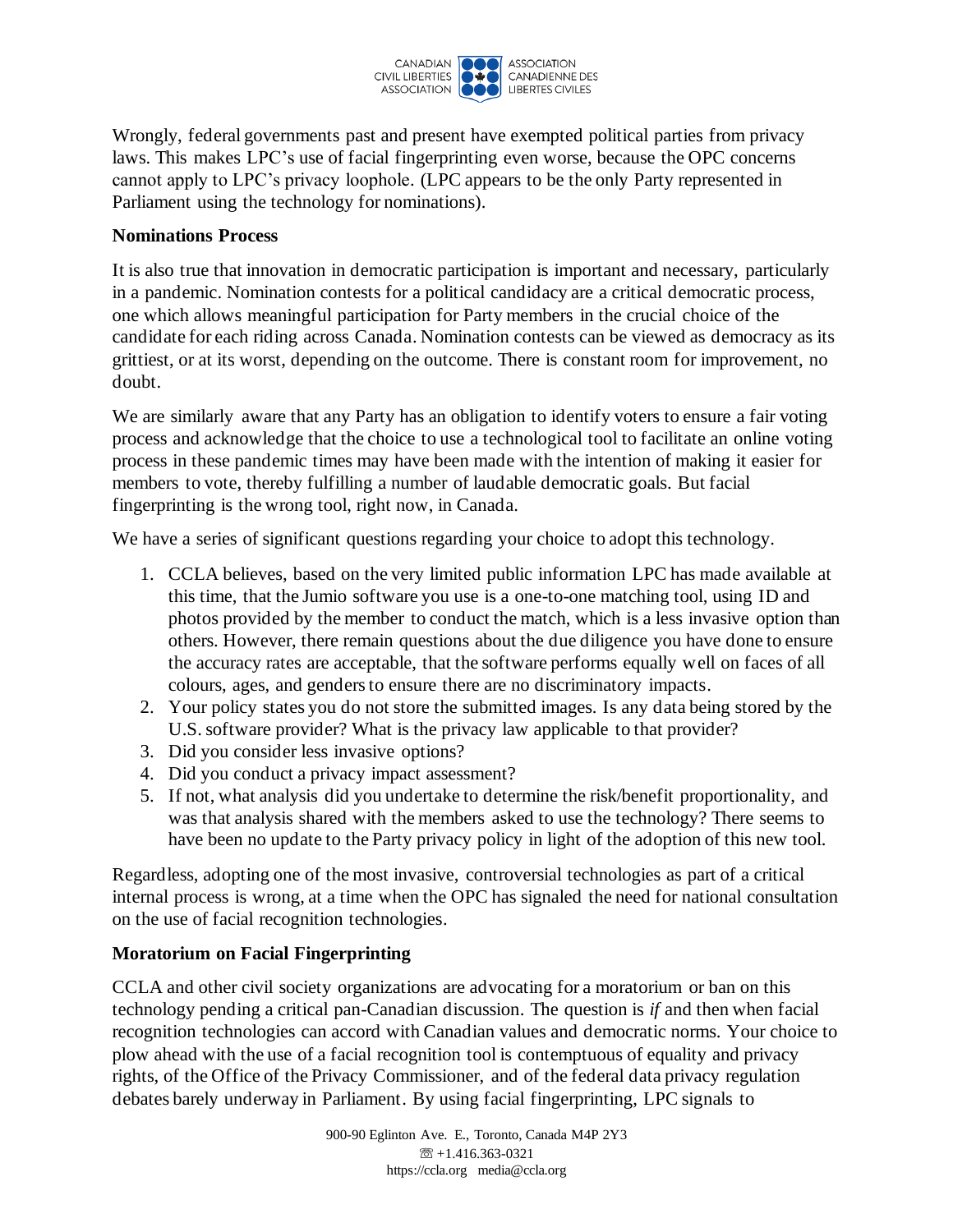

Wrongly, federal governments past and present have exempted political parties from privacy laws. This makes LPC's use of facial fingerprinting even worse, because the OPC concerns cannot apply to LPC's privacy loophole. (LPC appears to be the only Party represented in Parliament using the technology for nominations).

## **Nominations Process**

It is also true that innovation in democratic participation is important and necessary, particularly in a pandemic. Nomination contests for a political candidacy are a critical democratic process, one which allows meaningful participation for Party members in the crucial choice of the candidate for each riding across Canada. Nomination contests can be viewed as democracy as its grittiest, or at its worst, depending on the outcome. There is constant room for improvement, no doubt.

We are similarly aware that any Party has an obligation to identify voters to ensure a fair voting process and acknowledge that the choice to use a technological tool to facilitate an online voting process in these pandemic times may have been made with the intention of making it easier for members to vote, thereby fulfilling a number of laudable democratic goals. But facial fingerprinting is the wrong tool, right now, in Canada.

We have a series of significant questions regarding your choice to adopt this technology.

- 1. CCLA believes, based on the very limited public information LPC has made available at this time, that the Jumio software you use is a one-to-one matching tool, using ID and photos provided by the member to conduct the match, which is a less invasive option than others. However, there remain questions about the due diligence you have done to ensure the accuracy rates are acceptable, that the software performs equally well on faces of all colours, ages, and genders to ensure there are no discriminatory impacts.
- 2. Your policy states you do not store the submitted images. Is any data being stored by the U.S. software provider? What is the privacy law applicable to that provider?
- 3. Did you consider less invasive options?
- 4. Did you conduct a privacy impact assessment?
- 5. If not, what analysis did you undertake to determine the risk/benefit proportionality, and was that analysis shared with the members asked to use the technology? There seems to have been no update to the Party privacy policy in light of the adoption of this new tool.

Regardless, adopting one of the most invasive, controversial technologies as part of a critical internal process is wrong, at a time when the OPC has signaled the need for national consultation on the use of facial recognition technologies.

# **Moratorium on Facial Fingerprinting**

CCLA and other civil society organizations are advocating for a moratorium or ban on this technology pending a critical pan-Canadian discussion. The question is *if* and then when facial recognition technologies can accord with Canadian values and democratic norms. Your choice to plow ahead with the use of a facial recognition tool is contemptuous of equality and privacy rights, of the Office of the Privacy Commissioner, and of the federal data privacy regulation debates barely underway in Parliament. By using facial fingerprinting, LPC signals to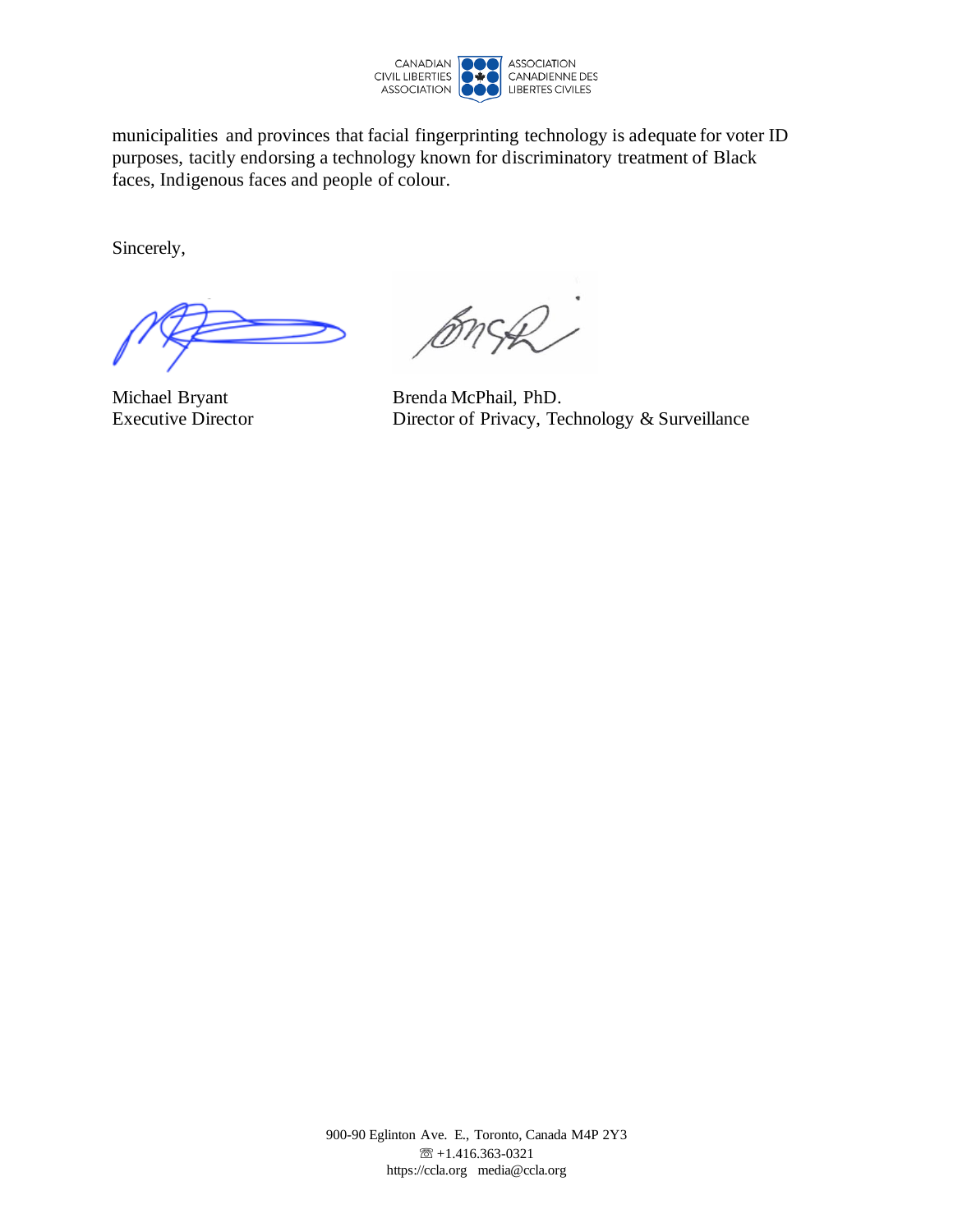

municipalities and provinces that facial fingerprinting technology is adequate for voter ID purposes, tacitly endorsing a technology known for discriminatory treatment of Black faces, Indigenous faces and people of colour.

Sincerely,

BnSR)

Michael Bryant Brenda McPhail, PhD. Executive Director Director Director of Privacy, Technology & Surveillance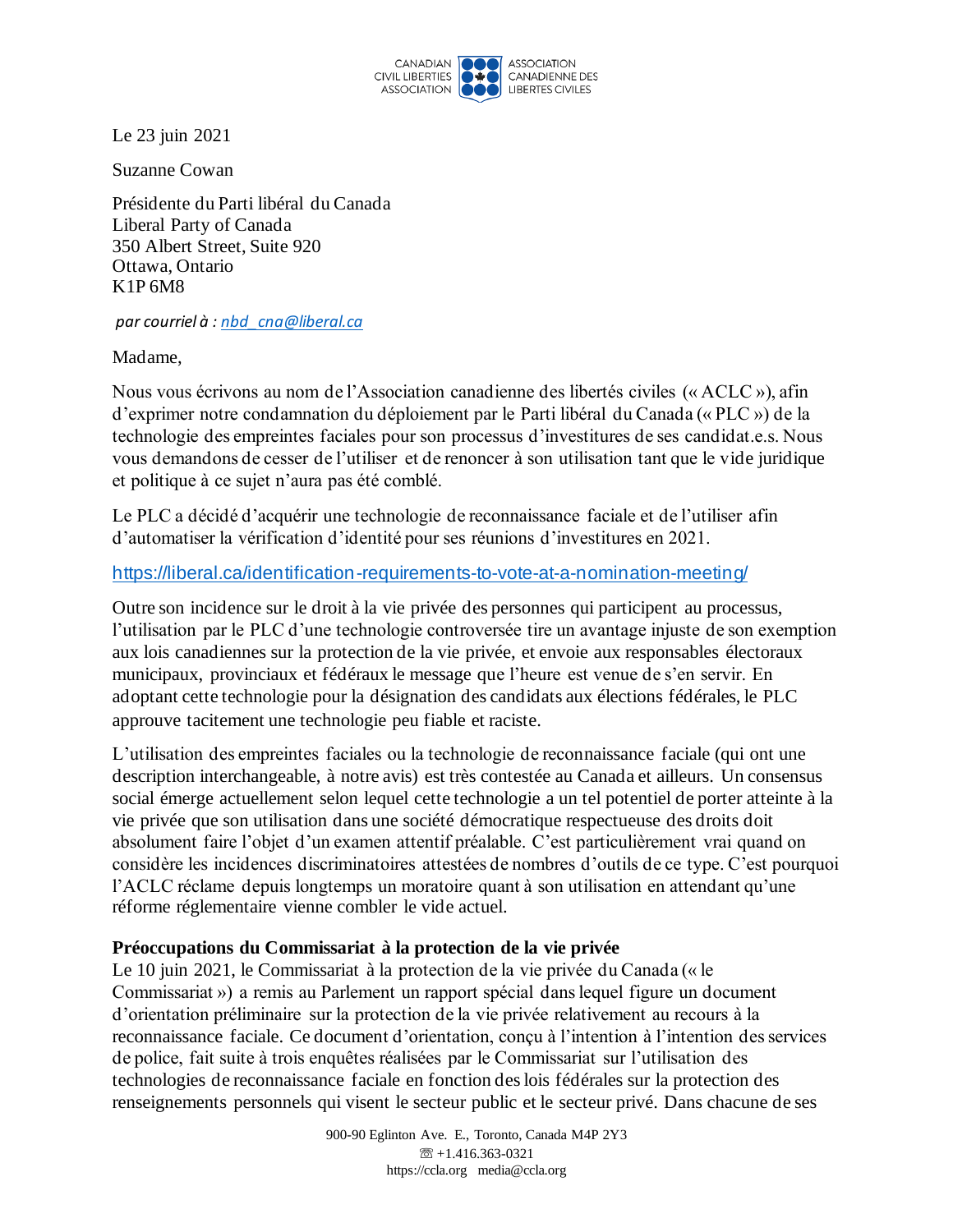

Le 23 juin 2021

Suzanne Cowan

Présidente du Parti libéral du Canada Liberal Party of Canada 350 Albert Street, Suite 920 Ottawa, Ontario K1P 6M8

*par courriel à : nbd\_cna@liberal.ca*

Madame,

Nous vous écrivons au nom de l'Association canadienne des libertés civiles (« ACLC »), afin d'exprimer notre condamnation du déploiement par le Parti libéral du Canada (« PLC ») de la technologie des empreintes faciales pour son processus d'investitures de ses candidat.e.s. Nous vous demandons de cesser de l'utiliser et de renoncer à son utilisation tant que le vide juridique et politique à ce sujet n'aura pas été comblé.

Le PLC a décidé d'acquérir une technologie de reconnaissance faciale et de l'utiliser afin d'automatiser la vérification d'identité pour ses réunions d'investitures en 2021.

#### https://liberal.ca/identification-requirements-to-vote-at-a-nomination-meeting/

Outre son incidence sur le droit à la vie privée des personnes qui participent au processus, l'utilisation par le PLC d'une technologie controversée tire un avantage injuste de son exemption aux lois canadiennes sur la protection de la vie privée, et envoie aux responsables électoraux municipaux, provinciaux et fédéraux le message que l'heure est venue de s'en servir. En adoptant cette technologie pour la désignation des candidats aux élections fédérales, le PLC approuve tacitement une technologie peu fiable et raciste.

L'utilisation des empreintes faciales ou la technologie de reconnaissance faciale (qui ont une description interchangeable, à notre avis) est très contestée au Canada et ailleurs. Un consensus social émerge actuellement selon lequel cette technologie a un tel potentiel de porter atteinte à la vie privée que son utilisation dans une société démocratique respectueuse des droits doit absolument faire l'objet d'un examen attentif préalable. C'est particulièrement vrai quand on considère les incidences discriminatoires attestées de nombres d'outils de ce type. C'est pourquoi l'ACLC réclame depuis longtemps un moratoire quant à son utilisation en attendant qu'une réforme réglementaire vienne combler le vide actuel.

#### **Préoccupations du Commissariat à la protection de la vie privée**

Le 10 juin 2021, le Commissariat à la protection de la vie privée du Canada (« le Commissariat ») a remis au Parlement un rapport spécial dans lequel figure un document d'orientation préliminaire sur la protection de la vie privée relativement au recours à la reconnaissance faciale. Ce document d'orientation, conçu à l'intention à l'intention des services de police, fait suite à trois enquêtes réalisées par le Commissariat sur l'utilisation des technologies de reconnaissance faciale en fonction des lois fédérales sur la protection des renseignements personnels qui visent le secteur public et le secteur privé. Dans chacune de ses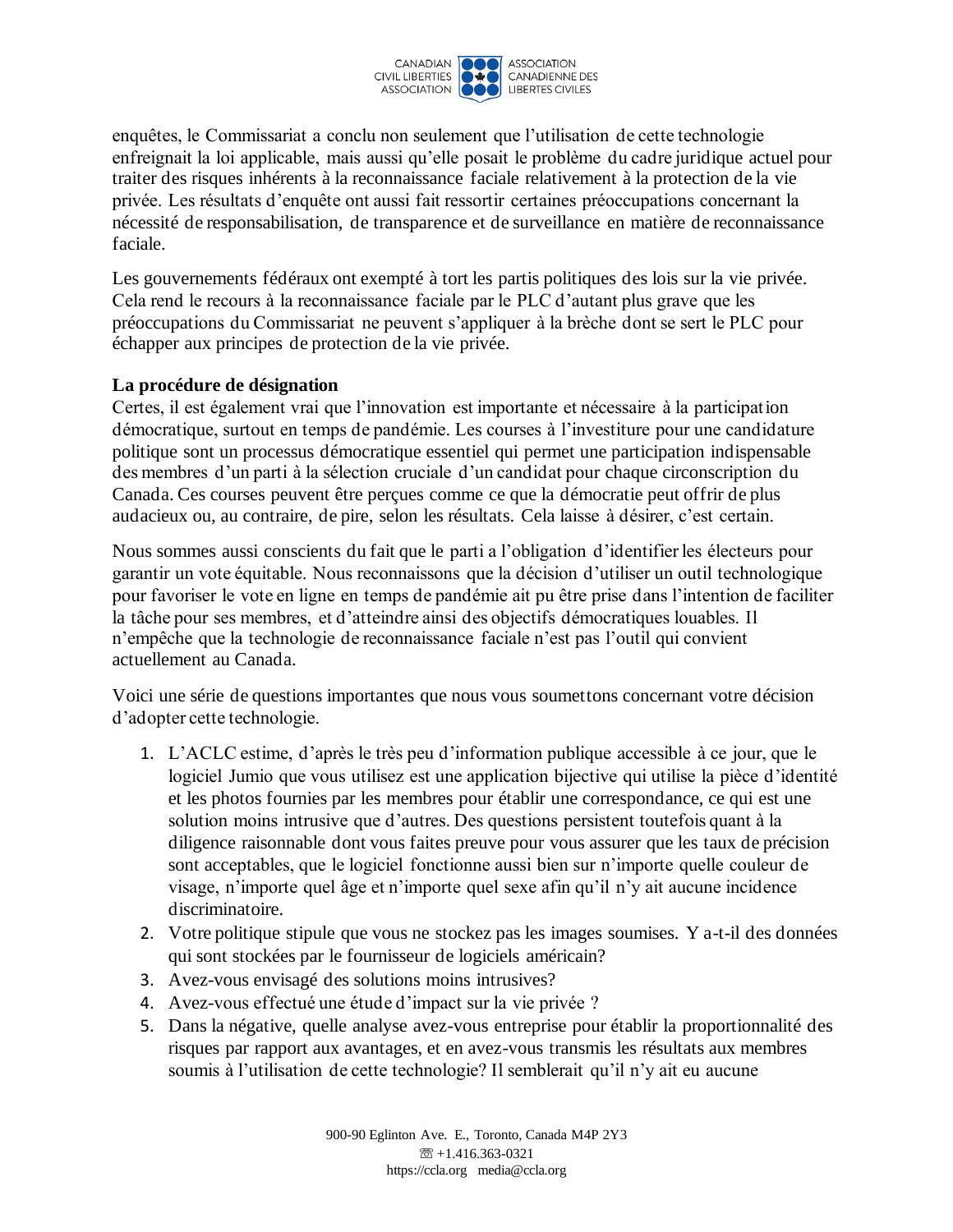

enquêtes, le Commissariat a conclu non seulement que l'utilisation de cette technologie enfreignait la loi applicable, mais aussi qu'elle posait le problème du cadre juridique actuel pour traiter des risques inhérents à la reconnaissance faciale relativement à la protection de la vie privée. Les résultats d'enquête ont aussi fait ressortir certaines préoccupations concernant la nécessité de responsabilisation, de transparence et de surveillance en matière de reconnaissance faciale.

Les gouvernements fédéraux ont exempté à tort les partis politiques des lois sur la vie privée. Cela rend le recours à la reconnaissance faciale par le PLC d'autant plus grave que les préoccupations du Commissariat ne peuvent s'appliquer à la brèche dont se sert le PLC pour échapper aux principes de protection de la vie privée.

## **La procédure de désignation**

Certes, il est également vrai que l'innovation est importante et nécessaire à la participation démocratique, surtout en temps de pandémie. Les courses à l'investiture pour une candidature politique sont un processus démocratique essentiel qui permet une participation indispensable des membres d'un parti à la sélection cruciale d'un candidat pour chaque circonscription du Canada. Ces courses peuvent être perçues comme ce que la démocratie peut offrir de plus audacieux ou, au contraire, de pire, selon les résultats. Cela laisse à désirer, c'est certain.

Nous sommes aussi conscients du fait que le parti a l'obligation d'identifier les électeurs pour garantir un vote équitable. Nous reconnaissons que la décision d'utiliser un outil technologique pour favoriser le vote en ligne en temps de pandémie ait pu être prise dans l'intention de faciliter la tâche pour ses membres, et d'atteindre ainsi des objectifs démocratiques louables. Il n'empêche que la technologie de reconnaissance faciale n'est pas l'outil qui convient actuellement au Canada.

Voici une série de questions importantes que nous vous soumettons concernant votre décision d'adopter cette technologie.

- 1. L'ACLC estime, d'après le très peu d'information publique accessible à ce jour, que le logiciel Jumio que vous utilisez est une application bijective qui utilise la pièce d'identité et les photos fournies par les membres pour établir une correspondance, ce qui est une solution moins intrusive que d'autres. Des questions persistent toutefois quant à la diligence raisonnable dont vous faites preuve pour vous assurer que les taux de précision sont acceptables, que le logiciel fonctionne aussi bien sur n'importe quelle couleur de visage, n'importe quel âge et n'importe quel sexe afin qu'il n'y ait aucune incidence discriminatoire.
- 2. Votre politique stipule que vous ne stockez pas les images soumises. Y a-t-il des données qui sont stockées par le fournisseur de logiciels américain?
- 3. Avez-vous envisagé des solutions moins intrusives?
- 4. Avez-vous effectué une étude d'impact sur la vie privée ?
- 5. Dans la négative, quelle analyse avez-vous entreprise pour établir la proportionnalité des risques par rapport aux avantages, et en avez-vous transmis les résultats aux membres soumis à l'utilisation de cette technologie? Il semblerait qu'il n'y ait eu aucune